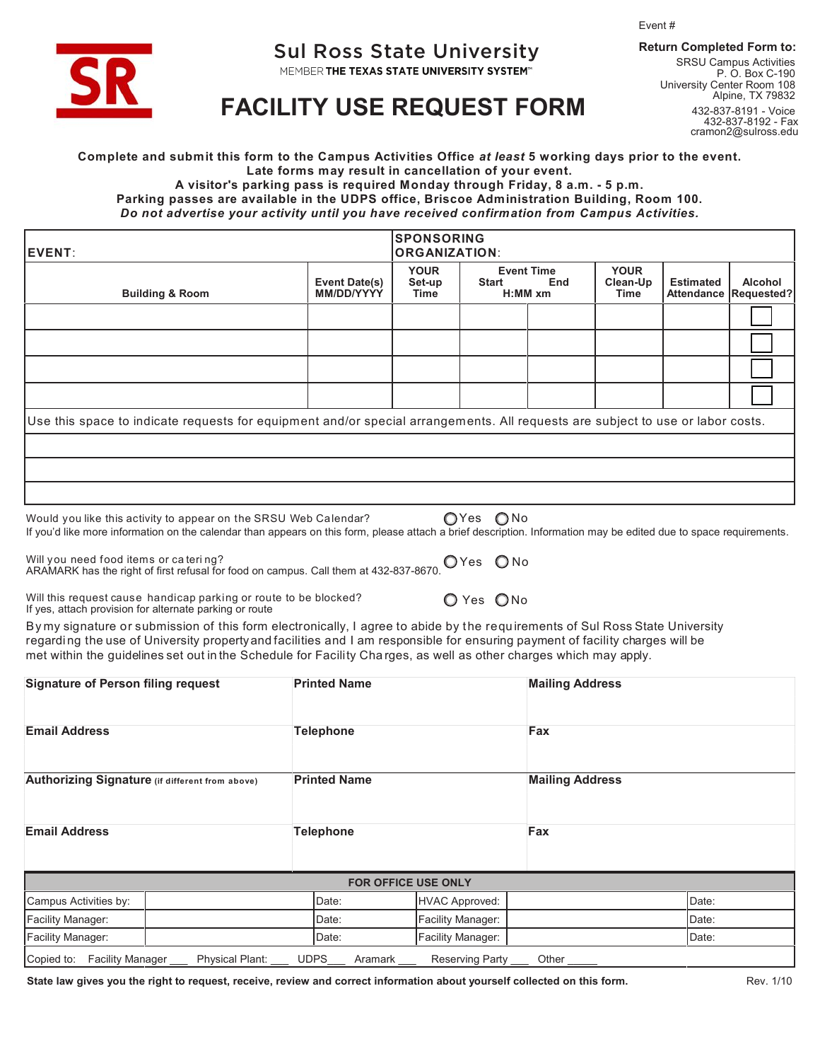Event #



## Sul Ross State University **Return Completed Form to:**

MEMBER THE TEXAS STATE UNIVERSITY SYSTEM"

SRSU Campus Activities P. O. Box C-190 University Center Room 108 Alpine, TX 79832 432-837-8191 - Voice 432-837-8192 - Fax cramon2@sulross.edu

## **[FACILITY USE REQUEST FORM](https://www.sulross.edu/page/870/meeting-and-event-services)**

**Complete and submit this form to the Campus Activities Office** *at least* **5 working days prior to the event. Late forms may result in cancellation of your event.**

**A visitor's parking pass is required Monday through Friday, 8 a.m. - 5 p.m.**

**Parking passes are available in the UDPS office, Briscoe Administration Building, Room 100.** *Do not advertise your activity until you have received confirmation from Campus Activities.*

| <b>IEVENT:</b>                                                                                                                 |                                    | <b>SPONSORING</b><br><b>ORGANIZATION:</b> |              |                                       |                                 |                                       |                              |  |  |
|--------------------------------------------------------------------------------------------------------------------------------|------------------------------------|-------------------------------------------|--------------|---------------------------------------|---------------------------------|---------------------------------------|------------------------------|--|--|
| <b>Building &amp; Room</b>                                                                                                     | <b>Event Date(s)</b><br>MM/DD/YYYY | <b>YOUR</b><br>Set-up<br>Time             | <b>Start</b> | <b>Event Time</b><br>End<br>$H:MM$ xm | <b>YOUR</b><br>Clean-Up<br>Time | <b>Estimated</b><br><b>Attendance</b> | <b>Alcohol</b><br>Requested? |  |  |
|                                                                                                                                |                                    |                                           |              |                                       |                                 |                                       |                              |  |  |
|                                                                                                                                |                                    |                                           |              |                                       |                                 |                                       |                              |  |  |
|                                                                                                                                |                                    |                                           |              |                                       |                                 |                                       |                              |  |  |
|                                                                                                                                |                                    |                                           |              |                                       |                                 |                                       |                              |  |  |
| Use this space to indicate requests for equipment and/or special arrangements. All requests are subject to use or labor costs. |                                    |                                           |              |                                       |                                 |                                       |                              |  |  |
|                                                                                                                                |                                    |                                           |              |                                       |                                 |                                       |                              |  |  |
|                                                                                                                                |                                    |                                           |              |                                       |                                 |                                       |                              |  |  |
|                                                                                                                                |                                    |                                           |              |                                       |                                 |                                       |                              |  |  |

Would you like this activity to appear on the SRSU Web Calendar?  $\bigcirc$  Yes  $\bigcirc$  No If you'd like more information on the calendar than appears on this form, please attach a brief description. Information may be edited due to space requirements.

Will you need food items or ca teri ng?<br>ARAMARK has the right of first refusal for food on campus. Call them at 432-837-8670.  $\bigcirc$  Yes  $\;\bigcirc$  No

Will this request cause handicap parking or route to be blocked?  $\bigcirc$  Yes  $\bigcirc$  No If yes, attach provision for alternate parking or route

By my signature or submission of this form electronically, I agree to abide by the requirements of Sul Ross State University regarding the use of University property and facilities and I am responsible for ensuring payment of facility charges will be met within the guidelines set out in the Schedule for Facility Cha rges, as well as other charges which may apply.

| <b>Signature of Person filing request</b>             | <b>Printed Name</b>    |                            | <b>Mailing Address</b><br>Fax<br><b>Mailing Address</b> |       |  |
|-------------------------------------------------------|------------------------|----------------------------|---------------------------------------------------------|-------|--|
| <b>Email Address</b>                                  | <b>Telephone</b>       |                            |                                                         |       |  |
| Authorizing Signature (if different from above)       | <b>Printed Name</b>    |                            |                                                         |       |  |
| <b>Email Address</b>                                  | <b>Telephone</b>       |                            | Fax                                                     |       |  |
|                                                       |                        | <b>FOR OFFICE USE ONLY</b> |                                                         |       |  |
| Campus Activities by:                                 | Date:                  | <b>HVAC Approved:</b>      |                                                         | Date: |  |
| Facility Manager:                                     | Date:                  | Facility Manager:          |                                                         | Date: |  |
| <b>Facility Manager:</b>                              | Date:                  | Facility Manager:          |                                                         | Date: |  |
| Copied to: Facility Manager<br><b>Physical Plant:</b> | <b>UDPS</b><br>Aramark | Reserving Party            | Other                                                   |       |  |

**State law gives you the right to request, receive, review and correct information about yourself collected on this form.** Rev. 1/10